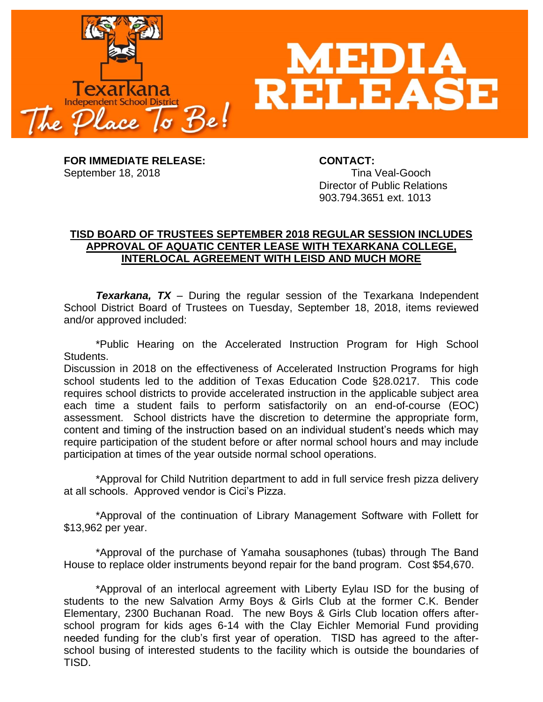

**FOR IMMEDIATE RELEASE: CONTACT:** September 18, 2018 Tina Veal-Gooch

Director of Public Relations 903.794.3651 ext. 1013

## **TISD BOARD OF TRUSTEES SEPTEMBER 2018 REGULAR SESSION INCLUDES APPROVAL OF AQUATIC CENTER LEASE WITH TEXARKANA COLLEGE, INTERLOCAL AGREEMENT WITH LEISD AND MUCH MORE**

*Texarkana, TX* – During the regular session of the Texarkana Independent School District Board of Trustees on Tuesday, September 18, 2018, items reviewed and/or approved included:

\*Public Hearing on the Accelerated Instruction Program for High School Students.

Discussion in 2018 on the effectiveness of Accelerated Instruction Programs for high school students led to the addition of Texas Education Code §28.0217. This code requires school districts to provide accelerated instruction in the applicable subject area each time a student fails to perform satisfactorily on an end-of-course (EOC) assessment. School districts have the discretion to determine the appropriate form, content and timing of the instruction based on an individual student's needs which may require participation of the student before or after normal school hours and may include participation at times of the year outside normal school operations.

\*Approval for Child Nutrition department to add in full service fresh pizza delivery at all schools. Approved vendor is Cici's Pizza.

\*Approval of the continuation of Library Management Software with Follett for \$13,962 per year.

\*Approval of the purchase of Yamaha sousaphones (tubas) through The Band House to replace older instruments beyond repair for the band program. Cost \$54,670.

\*Approval of an interlocal agreement with Liberty Eylau ISD for the busing of students to the new Salvation Army Boys & Girls Club at the former C.K. Bender Elementary, 2300 Buchanan Road. The new Boys & Girls Club location offers afterschool program for kids ages 6-14 with the Clay Eichler Memorial Fund providing needed funding for the club's first year of operation. TISD has agreed to the afterschool busing of interested students to the facility which is outside the boundaries of TISD.